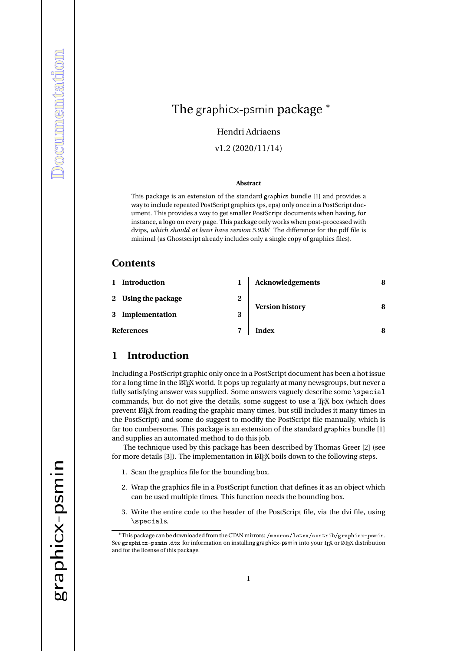# The graphicx-psmin package <sup>\*</sup>

Hendri Adriaens

v1.2 (2020/11/14)

#### **Abstract**

This package is an extension of the standard graphics bundle [1] and provides a way to include repeated PostScript graphics (ps, eps) only once in a PostScript document. This provides a way to get smaller PostScript documents when having, for instance, a logo on every page. This package only works when post-processed with dvips, *which should at least have version 5.95b!* The difference for the pdf file is minimal (as Ghostscript already includes only a single copy of graphics files).

#### **Contents**

|                   | Introduction        |   | <b>Acknowledgements</b> |  |
|-------------------|---------------------|---|-------------------------|--|
|                   | 2 Using the package | 2 | <b>Version history</b>  |  |
|                   | 3 Implementation    | 3 |                         |  |
| <b>References</b> |                     |   | <b>Index</b>            |  |

#### **1 Introduction**

Including a PostScript graphic only once in a PostScript document has been a hot issue for a long time in the ETEX world. It pops up regularly at many newsgroups, but never a fully satisfying answer was supplied. Some answers vaguely describe some \special commands, but do not give the details, some suggest to use a  $T<sub>F</sub>X$  box (which does prevent LATEX from reading the graphic many times, but still includes it many times in the PostScript) and some do suggest to modify the PostScript file manually, which is far too cumbersome. This package is an extension of the standard graphics bundle [1] and supplies an automated method to do this job.

The technique used by this package has been described by Thomas Greer [2] (see for more details [3]). The implementation in  $\mathbb{M}$ <sub>F</sub>X boils down to the following steps.

- 1. Scan the graphics file for the bounding box.
- 2. Wrap the graphics file in a PostScript function that defines it as an object which can be used multiple times. This function needs the bounding box.
- 3. Write the entire code to the header of the PostScript file, via the dvi file, using \specials.

<sup>∗</sup>This package can be downloaded from the CTAN mirrors: /macros/latex/contrib/graphicx-psmin. See graphicx-psmin.dtx for information on installing graphicx-psmin into your TEX or LATEX distribution and for the license of this package.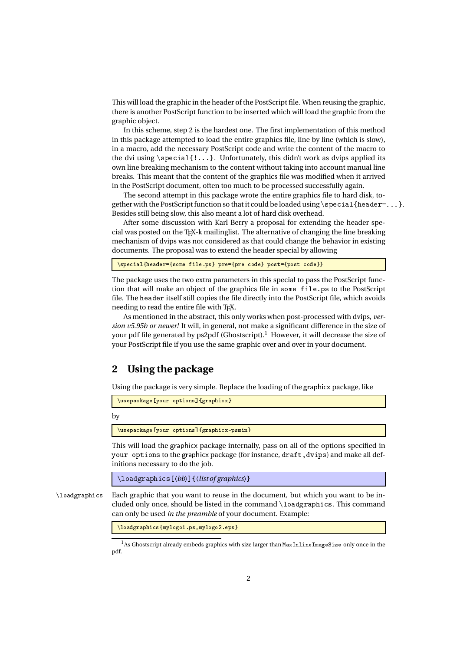This will load the graphic in the header of the PostScript file. When reusing the graphic, there is another PostScript function to be inserted which will load the graphic from the graphic object.

In this scheme, step 2 is the hardest one. The first implementation of this method in this package attempted to load the entire graphics file, line by line (which is slow), in a macro, add the necessary PostScript code and write the content of the macro to the dvi using  $\text{setal}\{!... \}$ . Unfortunately, this didn't work as dvips applied its own line breaking mechanism to the content without taking into account manual line breaks. This meant that the content of the graphics file was modified when it arrived in the PostScript document, often too much to be processed successfully again.

The second attempt in this package wrote the entire graphics file to hard disk, together with the PostScript function so that it could be loaded using  $\simeq$  special {header=...}. Besides still being slow, this also meant a lot of hard disk overhead.

After some discussion with Karl Berry a proposal for extending the header special was posted on the TEX-k mailinglist. The alternative of changing the line breaking mechanism of dvips was not considered as that could change the behavior in existing  $\alpha$  documents. The proposal was to extend the header special by allowing

\special{header={some file.ps} pre={pre code} post={post code}}

The package uses the two extra parameters in this special to pass the PostScript function that will make an object of the graphics file in some file.ps to the PostScript file. The header itself still copies the file directly into the PostScript file, which avoids needing to read the entire file with T<sub>E</sub>X.

As mentioned in the abstract, this only works when post-processed with dvips, *version v5.95b or newer!* It will, in general, not make a significant difference in the size of your pdf file generated by ps2pdf (Ghostscript).<sup>1</sup> However, it will decrease the size of your PostScript file if you use the same graphic over and over in your document.

### **2 Using the package**

Using the package is very simple. Replace the loading of the graphicx package, like

\usepackage[your options]{graphicx}

by  $\mathcal{G}$  and  $\mathcal{G}$  are psinons. The psinons options  $\mathcal{G}$  and  $\mathcal{G}$  are psinons options.

This will load the graphicx package internally, pass on all of the options specified in This will load the graphicx package internally, pass on all of the options specified in your options to the graphicx package (for instance, draft, dvips) and make all definitions necessary to do the job initions necessary to do the job.

\loadgraphics[〈*bb*〉]{〈*list of graphics*〉}

\loadgraphics Each graphic that you want to reuse in the document, but which you want to be included only once, should be listed in the command \loadgraphics. This command can only be used *in the preamble* of your document. Example:

\loadgraphics{mylogo1.ps,mylogo2.eps}

<sup>1</sup>As Ghostscript already embeds graphics with size larger than  $MaxInLineImageSize$  only once in the pdf.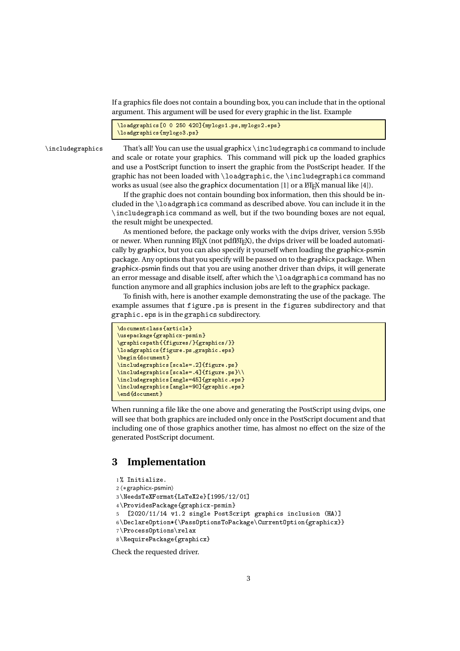If a graphics file does not contain a bounding box, you can include that in the optional argument. This argument will be used for every graphic in the list. Example<br>————————————————————

```
\lambdaloadgraphics[0 0 250 420]{mylogo1.ps,mylogo2.eps}
```
\includegraphics {mylogo3.ps}<br>\includegraphics That's all! You can use the usual graphicx \includegraphics command to include and scale or rotate your graphics. This command will pick up the loaded graphics and use a PostScript function to insert the graphic from the PostScript header. If the graphic has not been loaded with \loadgraphic, the \includegraphics command works as usual (see also the graphicx documentation [1] or a LATEX manual like [4]).

If the graphic does not contain bounding box information, then this should be included in the \loadgraphics command as described above. You can include it in the \includegraphics command as well, but if the two bounding boxes are not equal, the result might be unexpected.

As mentioned before, the package only works with the dvips driver, version 5.95b or newer. When running  $\text{ETr}X$  (not pdf $\text{ETr}X$ ), the dvips driver will be loaded automatically by graphicx, but you can also specify it yourself when loading the graphicx-psmin cally by graphicx, but you can also specify it yourself when loading the graphicx-psmin<br>package. Any options that you specify will be passed on to the graphicx package. When graphicx-psmin finds out that you are using another driver than dvips, it will generate an error message and disable itself, after which the \loadgraphics command has no function anymore and all graphics inclusion jobs are left to the graphicx package.

To finish with, here is another example demonstrating the use of the package. The example assumes that figure.ps is present in the figures subdirectory and that graphic . eps is in the graphics subdirectory.<br>————————————————————

```
\{documentclass\{article\}\usepackage{graphicx-psmin}
\graphicspath{{figures/}{graphics/}}
\lambdaloadgraphics{figure.ps,graphic.eps}
\begin{cases}\includegraphics [scale=.2]{figure.ps}
\in \sum_{s=1}^{\infty} and \sum_{s=1}^{\infty}\includegraphics [angle=45] {graphic.eps}
\verb|\includegraphics[angle=90]{graphics}\end{document}
```
When running a file like the one above and generating the PostScript using dvips, one will see that both graphics are included only once in the PostScript document and that including one of those graphics another time, has almost no effect on the size of the generated PostScript document.

#### **3 Implementation**

```
1 % Initialize.
2 〈∗graphicx-psmin〉
3 \NeedsTeXFormat{LaTeX2e}[1995/12/01]
4 \ProvidesPackage{graphicx-psmin}
5 [2020/11/14 v1.2 single PostScript graphics inclusion (HA)]
6 \DeclareOption*{\PassOptionsToPackage\CurrentOption{graphicx}}
7 \ProcessOptions\relax
8 \RequirePackage{graphicx}
```
Check the requested driver.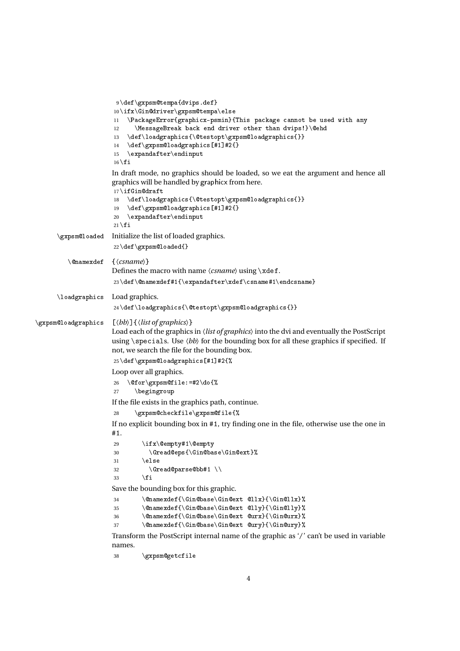```
9 \def\gxpsm@tempa{dvips.def}
                             10\ifx\Gin@driver\gxpsm@tempa\else<br>11 \PackageError{graphicx-psmin}{
                             11 \PackageError{graphicx-psmin}{This package cannot be used with any
                             12 \MessageBreak back end driver other than dvips!}\@ehd<br>13 \def\loadgraphics{\@testopt\gxpsm@loadgraphics{}}
                             13 \def\loadgraphics{\@testopt\gxpsm@loadgraphics{}}<br>14 \def\gxpsm@loadgraphics[#1]#2{}
                             14 \def\gxpsm@loadgraphics[#1]#2{}<br>15 \expandafter\endinput
                                 \expandafter\end{im}16 | fi
                             In draft mode, no graphics should be loaded, so we eat the argument and hence all
graphics will be handled by graphicx from here.
                             17\ifGin@draft<br>18 \def\loadg
                             18 \def\loadgraphics{\@testopt\gxpsm@loadgraphics{}}<br>19 \def\gxpsm@loadgraphics[#1]#2{}
                             19 \def\gxpsm@loadgraphics[#1]#2{}<br>20 \expandafter\endinput
                                  \expandafter\end{im}21 \setminus \textbf{fi}\gxpsm@loaded Initialize the list of loaded graphics.
                             22 \def\gxpsm@loaded{}
            \@namexdef {〈csname〉}
                             Defines the macro with name \langle \text{csname} \rangle using \xleftarrow{\text{cd}}23 \def\@namexdef#1{\expandafter\xdef\csname#1\endcsname}
        \loadgraphics Load graphics.
                             24 \def\loadgraphics{\@testopt\gxpsm@loadgraphics{}}
\gxpsm@loadgraphics [〈bb〉]{〈list of graphics〉}
                             Load each of the graphics in 〈list of graphics〉 into the dvi and eventually the PostScript
                             using \simeq loss \langle bb \rangle for the bounding box for all these graphics if specified. If
                             not, we search the file for the bounding box.
                             25 \def\gxpsm@loadgraphics[#1]#2{%
                            Loop over all graphics.
                             26 \@for\gxpsm@file:=#2\do{%
                                     \begingroup
                            If the file exists in the graphics path, continue.
                             28 \gxpsm@checkfile\gxpsm@file{%
                            If no explicit bounding box in #1, try finding one in the file, otherwise use the one in
                            #1.29 \iint x \@>0 \iint x \@>0<br>30 \C{read@ens} \C{indba}30 \Gread@eps{\Gin@base\Gin@ext}%<br>31 \else
                             31 \else
                             32 \langle \text{Gread@parse@bb#1 } \rangle<br>33 \{fi33 \fi
Save the bounding box for this graphic.
                             34 \@namexdef{\Gin@base\Gin@ext @llx}{\Gin@llx}%<br>35 \@namexdef{\Gin@base\Gin@ext @lly}{\Gin@lly}%
                              35 \@namexdef{\Gin@base\Gin@ext @lly}{\Gin@lly}%<br>26 \@namexdef{\Gin@base\Gin@ext @urx}{\Gin@urx}%
                              36 \@namexdef{\Gin@base\Gin@ext @urx}{\Gin@urx}%<br>27 \@namexdef{\Gin@base\Gin@ext @uru}{\Gin@uru}%
                             37 \@namexdef{\Gin@base\Gin@ext @ury}{\Gin@ury}%
                            Transform the PostScript internal name of the graphic as '/' can't be used in variable
                            names.
```

```
38 \gxpsm@getcfile
```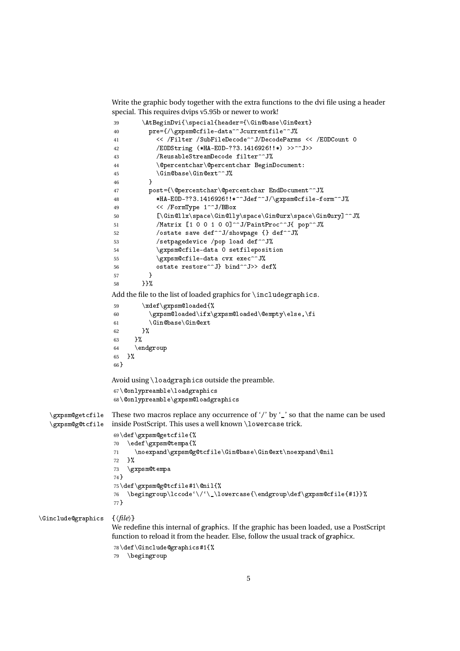Write the graphic body together with the extra functions to the dvi file using a header special. This requires dvips v5.95b or newer to work!

```
39 \AtBeginDvi{\special{header={\Gin@base\Gin@ext}
                                     40 pre={/\gxpsm@cfile-data^^Jcurrentfile^^J%<br>41 < /Filter /SubFileDecode^^J/DecodeParm
                                     41 << /Filter /SubFileDecode^^J/DecodeParms << /EODCount 0<br>42 /EODString (*HA-EOD-??3.1416926!!*) >>^^J>>
                                     42 /EODString (*HA-EOD-??3.1416926!!*) >>^^J>><br>43 /ReusableStreamDecode filter^^J%
                                     43 /ReusableStreamDecode filter^^J%<br>44 \@percentchar\@percentchar Begin
                                     44 \@percentchar\@percentchar BeginDocument:<br>45 \Gin@base\Gin@ext^^J%
                                     45 \langleGin@base\langleGin@ext^^J%
                                     46 }<br>47 p
                                     47 post={\@percentchar\@percentchar EndDocument^^J%<br>48 https://www.flathraphiliper.com#HA-E0D-??3.1416926!!*^^Jdef^^J/\gxpsm@cfile-f
                                     48 *HA-EDD-??3.1416926!!*^{\text{ad}}\text{def}^J\text{log}psm@cfile-form^J\text{G}^J\text{G}^J\text{G}^J\text{G}^J\text{G}^J\text{G}^J\text{G}^J\text{G}^J\text{G}^J\text{G}^J\text{G}^J\text{G}^J\text{G}^J\text{G}^J\text{G}^J\text{G}^J\text{G}^J\text{G}^J\text{G}^J\text{G}^J\text{G}^J\text{G}^J\text{G}^J\text{G}^J\text{G}49 << /FormType 1^^J/BBox<br>50 < \text{\mediate}\$1\$Pace\Gin@11
                                     50 [\Gin@llx\space\Gin@lly\space\Gin@urx\space\Gin@ury]^^J%
                                     51 /Matrix [1 \ 0 \ 0 \ 1 \ 0 \ 0]<sup>^</sup>^J/PaintProc<sup>^</sup>^J{ pop^^J%<br>52 /ostate save def^^J/showpage {} def^^J%
                                     52 /ostate save def^^J/showpage {} def^^J%<br>53 /setpagedevice /pop load def^^J%
                                     53 /setpagedevice /pop load def^^J%<br>54 \gxpsm@cfile-data 0 setfileposit
                                     54 \gxpsm@cfile-data 0 setfileposition<br>55 \gxpsm@cfile-data cvx exec^^J%
                                     55 \gxpsm@cfile-data cvx exec^^J%
                                     56      ostate restore^^J} bind^^J>> def%<br><sub>57</sub>      1
                                     \begin{array}{ccc} 57 & & & \} \\ 58 & & & \end{array}58 }}%
                                     Add the file to the list of loaded graphics for \includegraphics.
                                     59 \xdef\gxpsm@loaded{%<br>60 \gxpsm@loaded\ifx\
                                     60 \gxpsm@loaded\ifx\gxpsm@loaded\@empty\else,\fi<br>61 \Gin@base\Gin@ext
                                     61 \Gin@base\Gin@ext<br>62 }%
                                     62 ታ7,<br>معا
                                     63 }%
                                     64 \endgroup<br>65 \endgroup
                                           65 }%
                                     66 }
                                    Avoid using \lceil \text{loadgraphics} \rceil only preamble.<br>67 \Conly preamble \loadgraphics
                                     67 \@onlypreamble\loadgraphics
                                     68 \@onlypreamble\gxpsm@loadgraphics
     \sqrt{g} in \frac{g}{g}\overline{\mathfrak{p}} or \overline{\mathfrak{p}}These two macros replace any occurrence of '/' by '_' so that the name can be used
                                    inside PostScript. This uses a well known \lowercase trick.
                                     69\def\gxpsm@getcfile{%<br>70 \edef\gxpsm@tempa{%
                                     70 \edef\gxpsm@tempa{%</a><br>71 \noexpand\gxpsm@g
                                     71 \noexpand\gxpsm@g@tcfile\Gin@base\Gin@ext\noexpand\@nil<br>72 }%
                                     72 }%
                                     73 \gxpsm@tempa<br>74}
                                     74 }<br>75 \
                                     75\def\gxpsm@g@tcfile#1\@nil{%<br>76   \begingroup\lccode'\/'\ \l
                                     76 \begingroup\lccode`\/`\_\lowercase{\endgroup\def\gxpsm@cfile{#1}}%
                                     77 }
\Ginclude@graphics {〈file〉}
                                    We redefine this internal of graphics. If the graphic has been loaded, use a PostScript
                                    function to reload it from the header. Else, follow the usual track of graphicx.
                                     78 \def\Ginclude@graphics#1{\%}<br>
79 \ \begin{bmatrix} 79 & \begin{bmatrix} 79 & \begin{bmatrix} 79 & \begin{bmatrix} 79 & \begin{bmatrix} 79 & \begin{bmatrix} 79 & \begin{bmatrix} 79 & \begin{bmatrix} 79 & \begin{bmatrix} 79 & \begin{bmatrix} 79 & \begin{bmatrix} 79 & \begin{bmatrix} 79 & \begin{bmatrix} 79 & \begin{bmatrix} 79 & \begin{bmatrix} 79 & \begin{bmatrix} 79 & \begin{bmatrix} 79 & \begin{bmatrix} 79 & \begin{bmatrix} 79 & \begin{bmatrix}
```

```
\begingroup
```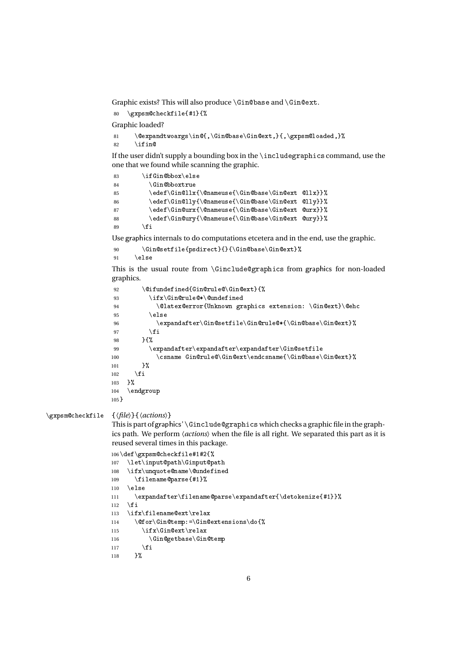Graphic exists? This will also produce  $\Gn@base$  and  $\Gn@ext.$ <br>80  $\gamma$  xpsm@checkfile{#1}{%

```
80 \gxpsm@checkfile{#1}{%
```
Graphic loaded?

```
81 \@expandtwoargs\in@{,\Gin@base\Gin@ext,}{,\gxpsm@loaded,}%<br>82 \ifin@
       \intifin@
```
If the user didn't supply a bounding box in the \includegraphicscommand, use the one that we found while scanning the graphic.

```
83 \ifGin@bbox\else<br>84 \Gin@bboxtrue
84 \Gin@bboxtrue
85 \edef\Gin@llx{\@nameuse{\Gin@base\Gin@ext @llx}}%<br>% \edef\Gin@lly{\@nameuse{\Gin@base\Gin@ext @lly}}%
86 \edef\Gin@lly{\@nameuse{\Gin@base\Gin@ext @lly}}%<br>87 \edef\Gin@urx{\@nameuse{\Gin@base\Gin@ext @urx}}%
87 \edef\Gin@urx{\@nameuse{\Gin@base\Gin@ext @urx}}%<br>88 \edef\Gin@ury{\@nameuse{\Gin@base\Gin@ext @ury}}%
88 \edef\Gin@ury{\@nameuse{\Gin@base\Gin@ext @ury}}%<br>89 \fi
```
<sup>89</sup> \fi Use graphicsinternals to do computations etcetera and in the end, use the graphic.

```
90 \Gin@setfile{psdirect}{}{\Gin@base\Gin@ext}%<br>91 \else
      \else
```
This is the usual route from \Ginclude@graphics from graphics for non-loaded graphics.

```
92 \@ifundefined{Gin@rule@\Gin@ext}{%<br>93 \ifx\Gin@rule@*\@undefined
93 \ifx\Gin@rule@*\@undefined<br>94 \@latex@error{Unknown gr
94 \@latex@error{Unknown graphics extension: \Gin@ext}\@ehc
 95 \else
96 \expandafter\Gin@setfile\Gin@rule@*{\Gin@base\Gin@ext}%<br>97 \fi
97 \setminusfi<br>98 \setminusf<sup>y</sup>
98 {}^{98} {}^{10}99 \expandafter\expandafter\expandafter\Cin@setfile<br>100 \csname Gin@rule@\Gin@ext\endcsname{\Gin@base\
100 \csname Gin@rule@\Gin@ext\endcsname{\Gin@base\Gin@ext}%<br>101 }%
101 }%<br>102 \fi
102 \fi<br><sub>102</sub> \V
103 }%<br>104 \e
104 \endgroup<br>105 <del>\</del>
105 }
```

```
\gxpsm@checkfile {〈file〉}{〈actions〉}
```
This is part of graphics' \Ginclude@graphics which checks a graphic file in the graphics path. We perform 〈*actions*〉 when the file is all right. We separated this part as it is reused several times in this package.

```
106\def\gxpsm@checkfile#1#2{%<br>107 \let\input@path\Ginput@path
107 \let\input@path\Ginput@path<br>108 \ifr\unquote@pamo\@undofine
108 \ifx\unquote@name\@undefined<br>109 \filename@narsef#11"
109 \filename@parse{#1}%<br>110 \else
110 \else<br>111 \ex
111 \expandafter\filename@parse\expandafter{\detokenize{#1}}%
113 \ifx\filename@ext\relax
113 \ifx\filename@ext\relax<br>114 \@for\Gin@tomn:-\Gin@
114 \@for\Gin@temp:=\Gin@extensions\do{%<br>115 \ify\Cin@ext\relay
115 \ifx\Gin@ext\relax<br>116 \Gin@eetbase\Gin
116 \Gin@getbase\Gin@temp<br>117 \fi
117 \fi<br>119 \'
118 }%
```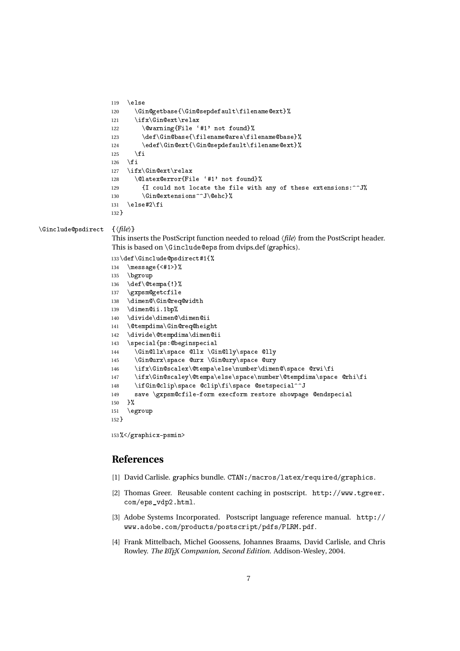```
119 \else<br>120 \Gi
120 \Gin@getbase{\Gin@sepdefault\filename@ext}%<br>121 \ifx\Gin@ext\relax
121 \ifx\Gin@ext\relax<br>122 \@warning{File
122 \@warning{File '#1' not found}%<br>123 \def\Cin@base{\filename@area\fi
123 \def\Gin@base{\filename@area\filename@base}%<br>124 \edef\Gin@ext{\Gin@sepdefault\filename@ext}%
124 \edef\Gin@ext{\Gin@sepdefault\filename@ext}%<br>125 \fi
125 \setminusfi<br>126 \setminusfi
126 \overline{126} \overline{127} \overline{15}127 \ifx\Gin@ext\relax<br>128 \@latex@error{Fi
128 \@latex@error{File '#1' not found}%<br>129 {I could not locate the file with
129 \{I \text{ could not locate the file with any of these extensions: ^J\}\<br>130 \Gin@extensions^^J\@ehc}%
130 \Gin@extensions^^J\@ehc}%
        \text{else#2}\132 }
```
\Ginclude@psdirect {〈*file*〉}

This inserts the PostScript function needed to reload *∖file*〉 from the PostScript header.<br>This is based on *∖Ginclude@eps from dvips.def (graphics*).

```
133 \def\Ginclude@psdirect#1{\%}<br>134 \message{<#1>}%
134 \message{\#1>}%<br>135 \bgroup
135 \bgroup<br>136 \def\@t
136 \def\@tempa{!}%<br>137 \gxpsm@getcfile
137 \gxpsm@getcfile<br>138 \dimen@\Gin@rea
138 \dimen@\Gin@req@width<br>120 \dimen@ij_1bp?
139 \dimen@ii.1bp%<br>140 \divide\dimen@\dimen@ii
140 \divide\dimen@\dimen@ii<br>141 \@tempdima\Gin@rea@beic
141 \@tempdima\Gin@req@height<br>142 \divide\@tempdima\dimen@i
142 \divide\@tempdima\dimen@ii<br>143 \specialfps:@beginspecial
143 \special{ps:@beginspecial<br>144 \Gin@llx\space @llx \Gin@lly\space @lly
144 \Gin@llx\space @llx \Gin@lly\space @lly
145 \Gin@urx\space @urx \Gin@ury\space @ury<br>146 \ifr\Gin@scaler\@terma\else\number\dime
146 \ifx\Gin@scalex\@tempa\else\number\dimen@\space @rwi\fi<br>147 \ifx\Gin@scaley\@tempa\else\space\number\@tempdima\spac
147 \ifx\Gin@scaley\@tempa\else\space\number\@tempdima\space @rhi\fi<br>148 \ifGin@clip\space @clip\fi\space @setspecial^^J
148 \ifGin@clip\space @clip\fi\space @setspecial^^J<br>149 save \gxpsm@cfile-form execform restore showpag
149 save \gxpsm@cfile-form execform restore showpage @endspecial
150 }%<br>151 \e
        \qquad152 }
```
<sup>153</sup> %</graphicx-psmin>

### **References**

- [1] David Carlisle. graphics bundle. CTAN:/macros/latex/required/graphics.
- [2] Thomas Greer. Reusable content caching in postscript. http://www.tgreer. com/eps\_vdp2.html.
- [3] Adobe Systems Incorporated. Postscript language reference manual. http:// www.adobe.com/products/postscript/pdfs/PLRM.pdf.
- [4] Frank Mittelbach, Michel Goossens, Johannes Braams, David Carlisle, and Chris Rowley. *The BTEX Companion, Second Edition*. Addison-Wesley, 2004.